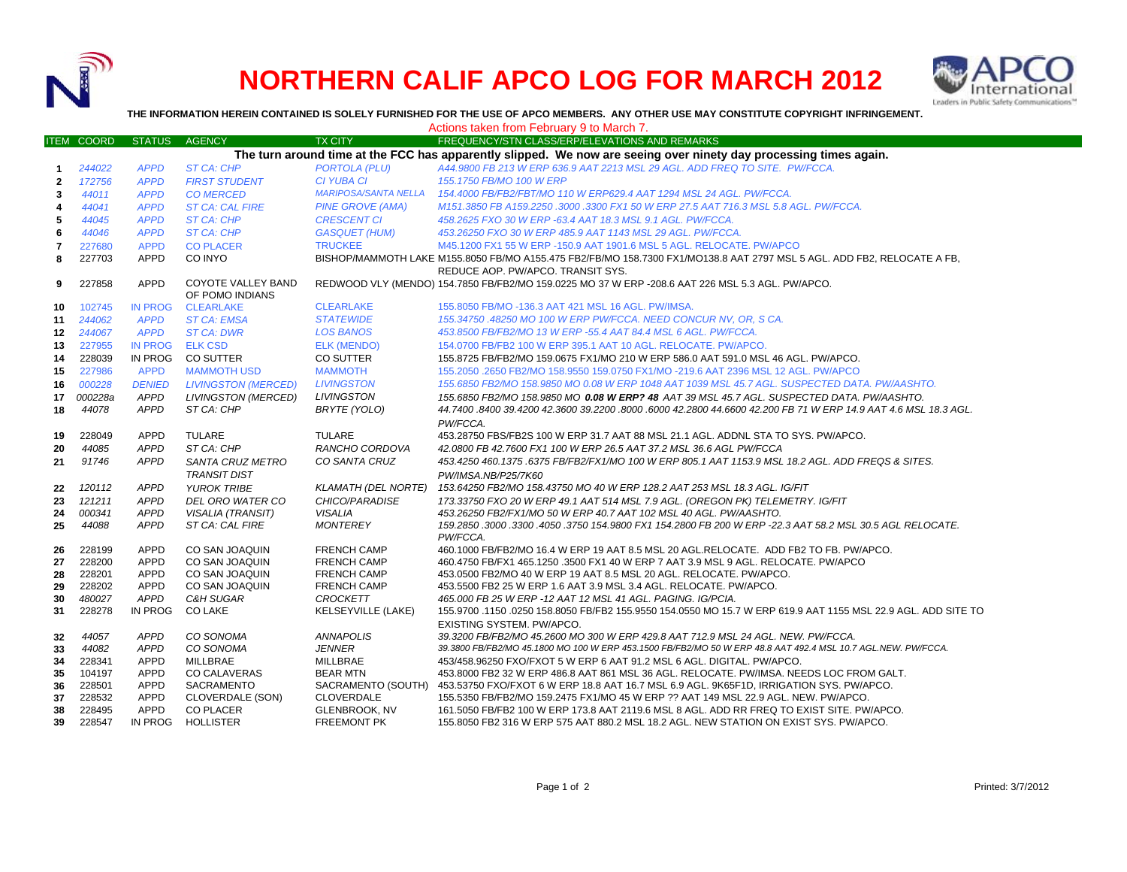

## **NORTHERN CALIF APCO LOG FOR MARCH 2012**



**THE INFORMATION HEREIN CONTAINED IS SOLELY FURNISHED FOR THE USE OF APCO MEMBERS. ANY OTHER USE MAY CONSTITUTE COPYRIGHT INFRINGEMENT.**

|                  |                                   |                |                            |                             | Actions taken from February 9 to March 7.                                                                               |
|------------------|-----------------------------------|----------------|----------------------------|-----------------------------|-------------------------------------------------------------------------------------------------------------------------|
|                  | <b>ITEM COORD</b>                 | <b>STATUS</b>  | <b>AGENCY</b>              | <b>TX CITY</b>              | FREQUENCY/STN CLASS/ERP/ELEVATIONS AND REMARKS                                                                          |
|                  |                                   |                |                            |                             | The turn around time at the FCC has apparently slipped. We now are seeing over ninety day processing times again.       |
| 1                | 244022                            | <b>APPD</b>    | <b>ST CA: CHP</b>          | <b>PORTOLA (PLU)</b>        | A44,9800 FB 213 W ERP 636.9 AAT 2213 MSL 29 AGL, ADD FREQ TO SITE. PW/FCCA.                                             |
| $\overline{2}$   | 172756                            | <b>APPD</b>    | <b>FIRST STUDENT</b>       | <b>CI YUBA CI</b>           | 155.1750 FB/MO 100 W ERP                                                                                                |
| 3                | 44011                             | <b>APPD</b>    | <b>CO MERCED</b>           | <b>MARIPOSA/SANTA NELLA</b> | 154.4000 FB/FB2/FBT/MO 110 W ERP629.4 AAT 1294 MSL 24 AGL. PW/FCCA.                                                     |
| 4                | 44041                             | <b>APPD</b>    | <b>ST CA: CAL FIRE</b>     | <b>PINE GROVE (AMA)</b>     | M151.3850 FB A159.2250 .3000 .3300 FX1 50 W ERP 27.5 AAT 716.3 MSL 5.8 AGL. PW/FCCA.                                    |
| 5                | 44045                             | <b>APPD</b>    | <b>ST CA: CHP</b>          | <b>CRESCENT CI</b>          | 458.2625 FXO 30 W ERP -63.4 AAT 18.3 MSL 9.1 AGL. PW/FCCA.                                                              |
| 6                | 44046                             | <b>APPD</b>    | ST CA: CHP                 | <b>GASQUET (HUM)</b>        | 453.26250 FXO 30 W ERP 485.9 AAT 1143 MSL 29 AGL, PW/FCCA.                                                              |
| 7                | 227680                            | <b>APPD</b>    | <b>CO PLACER</b>           | <b>TRUCKEE</b>              | M45.1200 FX1 55 W ERP -150.9 AAT 1901.6 MSL 5 AGL. RELOCATE. PW/APCO                                                    |
| 8                | 227703                            | APPD           | CO INYO                    |                             | BISHOP/MAMMOTH LAKE M155.8050 FB/MO A155.475 FB2/FB/MO 158.7300 FX1/MO138.8 AAT 2797 MSL 5 AGL. ADD FB2, RELOCATE A FB, |
|                  | REDUCE AOP. PW/APCO. TRANSIT SYS. |                |                            |                             |                                                                                                                         |
| 9                | 227858                            | APPD           | <b>COYOTE VALLEY BAND</b>  |                             | REDWOOD VLY (MENDO) 154.7850 FB/FB2/MO 159.0225 MO 37 W ERP -208.6 AAT 226 MSL 5.3 AGL. PW/APCO.                        |
|                  |                                   |                | OF POMO INDIANS            |                             |                                                                                                                         |
| 10               | 102745                            | IN PROG        | <b>CLEARLAKE</b>           | <b>CLEARLAKE</b>            | 155,8050 FB/MO -136.3 AAT 421 MSL 16 AGL, PW/IMSA.                                                                      |
| 11               | 244062                            | <b>APPD</b>    | <b>ST CA: EMSA</b>         | <b>STATEWIDE</b>            | 155.34750 .48250 MO 100 W ERP PW/FCCA. NEED CONCUR NV, OR, S CA.                                                        |
| 12 <sup>12</sup> | 244067                            | <b>APPD</b>    | <b>ST CA: DWR</b>          | <b>LOS BANOS</b>            | 453.8500 FB/FB2/MO 13 W ERP -55.4 AAT 84.4 MSL 6 AGL. PW/FCCA.                                                          |
| 13               | 227955                            | <b>IN PROG</b> | <b>ELK CSD</b>             | <b>ELK (MENDO)</b>          | 154,0700 FB/FB2 100 W ERP 395.1 AAT 10 AGL, RELOCATE, PW/APCO.                                                          |
| 14               | 228039                            | IN PROG        | CO SUTTER                  | <b>CO SUTTER</b>            | 155.8725 FB/FB2/MO 159.0675 FX1/MO 210 W ERP 586.0 AAT 591.0 MSL 46 AGL. PW/APCO.                                       |
| 15               | 227986                            | <b>APPD</b>    | <b>MAMMOTH USD</b>         | <b>MAMMOTH</b>              | 155.2050 .2650 FB2/MO 158.9550 159.0750 FX1/MO -219.6 AAT 2396 MSL 12 AGL. PW/APCO                                      |
| 16               | 000228                            | <b>DENIED</b>  | <b>LIVINGSTON (MERCED)</b> | <b>LIVINGSTON</b>           | 155.6850 FB2/MO 158.9850 MO 0.08 W ERP 1048 AAT 1039 MSL 45.7 AGL. SUSPECTED DATA. PW/AASHTO.                           |
| 17               | 000228a                           | <b>APPD</b>    | <b>LIVINGSTON (MERCED)</b> | <b>LIVINGSTON</b>           | 155.6850 FB2/MO 158.9850 MO 0.08 W ERP? 48 AAT 39 MSL 45.7 AGL. SUSPECTED DATA. PW/AASHTO.                              |
| 18               | 44078                             | <b>APPD</b>    | ST CA: CHP                 | BRYTE (YOLO)                | 44.7400 .8400 39.4200 42.3600 39.2200 .8000 .6000 42.2800 44.6600 42.200 FB 71 W ERP 14.9 AAT 4.6 MSL 18.3 AGL.         |
|                  |                                   |                |                            |                             | PW/FCCA.                                                                                                                |
| 19               | 228049                            | APPD           | <b>TULARE</b>              | TULARE                      | 453.28750 FBS/FB2S 100 W ERP 31.7 AAT 88 MSL 21.1 AGL. ADDNL STA TO SYS. PW/APCO.                                       |
| 20               | 44085                             | <b>APPD</b>    | ST CA: CHP                 | RANCHO CORDOVA              | 42.0800 FB 42.7600 FX1 100 W ERP 26.5 AAT 37.2 MSL 36.6 AGL PW/FCCA                                                     |
| 21               | 91746                             | <b>APPD</b>    | SANTA CRUZ METRO           | CO SANTA CRUZ               | 453.4250 460.1375 .6375 FB/FB2/FX1/MO 100 W ERP 805.1 AAT 1153.9 MSL 18.2 AGL. ADD FREQS & SITES.                       |
|                  |                                   |                | <b>TRANSIT DIST</b>        |                             | PW/IMSA.NB/P25/7K60                                                                                                     |
| 22               | 120112                            | <b>APPD</b>    | <b>YUROK TRIBE</b>         | <b>KLAMATH (DEL NORTE)</b>  | 153.64250 FB2/MO 158.43750 MO 40 W ERP 128.2 AAT 253 MSL 18.3 AGL. IG/FIT                                               |
| 23               | 121211                            | <b>APPD</b>    | DEL ORO WATER CO           | CHICO/PARADISE              | 173.33750 FXO 20 W ERP 49.1 AAT 514 MSL 7.9 AGL. (OREGON PK) TELEMETRY. IG/FIT                                          |
| 24               | 000341                            | <b>APPD</b>    | <b>VISALIA (TRANSIT)</b>   | <b>VISALIA</b>              | 453.26250 FB2/FX1/MO 50 W ERP 40.7 AAT 102 MSL 40 AGL. PW/AASHTO.                                                       |
| 25               | 44088                             | <b>APPD</b>    | ST CA: CAL FIRE            | <b>MONTEREY</b>             | 159.2850 .3000 .3300 .4050 .3750 154.9800 FX1 154.2800 FB 200 W ERP -22.3 AAT 58.2 MSL 30.5 AGL RELOCATE.               |
|                  |                                   |                |                            |                             | PW/FCCA.                                                                                                                |
| 26               | 228199                            | <b>APPD</b>    | CO SAN JOAQUIN             | <b>FRENCH CAMP</b>          | 460.1000 FB/FB2/MO 16.4 W ERP 19 AAT 8.5 MSL 20 AGL.RELOCATE. ADD FB2 TO FB. PW/APCO.                                   |
| 27               | 228200                            | <b>APPD</b>    | CO SAN JOAQUIN             | <b>FRENCH CAMP</b>          | 460.4750 FB/FX1 465.1250 .3500 FX1 40 W ERP 7 AAT 3.9 MSL 9 AGL. RELOCATE. PW/APCO                                      |
| 28               | 228201                            | <b>APPD</b>    | CO SAN JOAQUIN             | <b>FRENCH CAMP</b>          | 453.0500 FB2/MO 40 W ERP 19 AAT 8.5 MSL 20 AGL. RELOCATE. PW/APCO.                                                      |
| 29               | 228202                            | <b>APPD</b>    | CO SAN JOAQUIN             | <b>FRENCH CAMP</b>          | 453.5500 FB2 25 W ERP 1.6 AAT 3.9 MSL 3.4 AGL. RELOCATE. PW/APCO.                                                       |
| 30               | 480027                            | <b>APPD</b>    | <b>C&amp;H SUGAR</b>       | <b>CROCKETT</b>             | 465.000 FB 25 W ERP -12 AAT 12 MSL 41 AGL. PAGING. IG/PCIA.                                                             |
| 31               | 228278                            | IN PROG        | <b>CO LAKE</b>             | <b>KELSEYVILLE (LAKE)</b>   | 155.9700 .1150 .0250 158.8050 FB/FB2 155.9550 154.0550 MO 15.7 W ERP 619.9 AAT 1155 MSL 22.9 AGL. ADD SITE TO           |
|                  |                                   |                |                            |                             | EXISTING SYSTEM. PW/APCO.                                                                                               |
| 32               | 44057                             | <b>APPD</b>    | CO SONOMA                  | <b>ANNAPOLIS</b>            | 39.3200 FB/FB2/MO 45.2600 MO 300 W ERP 429.8 AAT 712.9 MSL 24 AGL. NEW. PW/FCCA.                                        |
| 33               | 44082                             | <b>APPD</b>    | CO SONOMA                  | <b>JENNER</b>               | 39.3800 FB/FB2/MO 45.1800 MO 100 W ERP 453.1500 FB/FB2/MO 50 W ERP 48.8 AAT 492.4 MSL 10.7 AGL.NEW. PW/FCCA.            |
| 34               | 228341                            | <b>APPD</b>    | <b>MILLBRAE</b>            | <b>MILLBRAE</b>             | 453/458.96250 FXO/FXOT 5 W ERP 6 AAT 91.2 MSL 6 AGL. DIGITAL. PW/APCO.                                                  |
| 35               | 104197                            | <b>APPD</b>    | <b>CO CALAVERAS</b>        | <b>BEAR MTN</b>             | 453.8000 FB2 32 W ERP 486.8 AAT 861 MSL 36 AGL. RELOCATE. PW/IMSA. NEEDS LOC FROM GALT.                                 |
| 36               | 228501                            | APPD           | SACRAMENTO                 | SACRAMENTO (SOUTH)          | 453.53750 FXO/FXOT 6 W ERP 18.8 AAT 16.7 MSL 6.9 AGL. 9K65F1D, IRRIGATION SYS. PW/APCO.                                 |
| 37               | 228532                            | <b>APPD</b>    | CLOVERDALE (SON)           | CLOVERDALE                  | 155.5350 FB/FB2/MO 159.2475 FX1/MO 45 W ERP ?? AAT 149 MSL 22.9 AGL. NEW. PW/APCO.                                      |
| 38               | 228495                            | APPD           | CO PLACER                  | GLENBROOK, NV               | 161.5050 FB/FB2 100 W ERP 173.8 AAT 2119.6 MSL 8 AGL. ADD RR FREQ TO EXIST SITE. PW/APCO.                               |
| 39               | 228547                            | IN PROG        | <b>HOLLISTER</b>           | <b>FREEMONT PK</b>          | 155.8050 FB2 316 W ERP 575 AAT 880.2 MSL 18.2 AGL. NEW STATION ON EXIST SYS. PW/APCO.                                   |